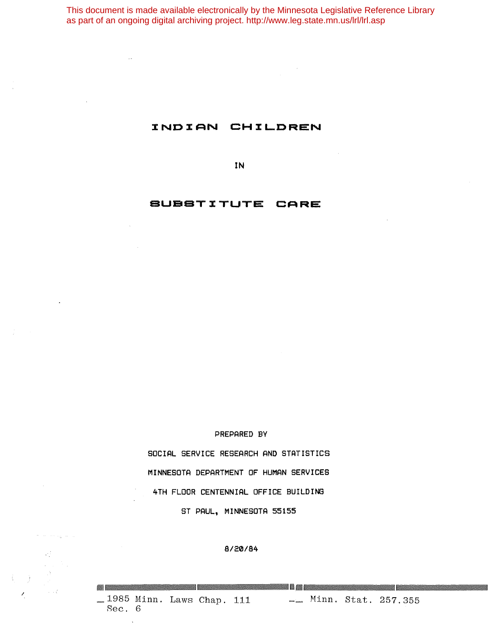This document is made available electronically by the Minnesota Legislative Reference Library as part of an ongoing digital archiving project. http://www.leg.state.mn.us/lrl/lrl.asp

## **XNDXAN CHI:LDREN**

**IN**

## **eUeSTI:TUTE CARE**

#### **PREPARED BY**

**SOCIAL SERVICE RESEARCH AND STATISTICS MINNESOTA DEPARTMENT OF HUMAN SERVICES 4TH FLOOR CENTENNIAL OFFICE BUILDING ST PAUL, MINNESOTA 55155**

#### **8/20/84**

/ 257.355 111 - Minn. Stat. 257.355 Sec. 6

U,

**144 ...**<br>- Minn. Stat. 257.355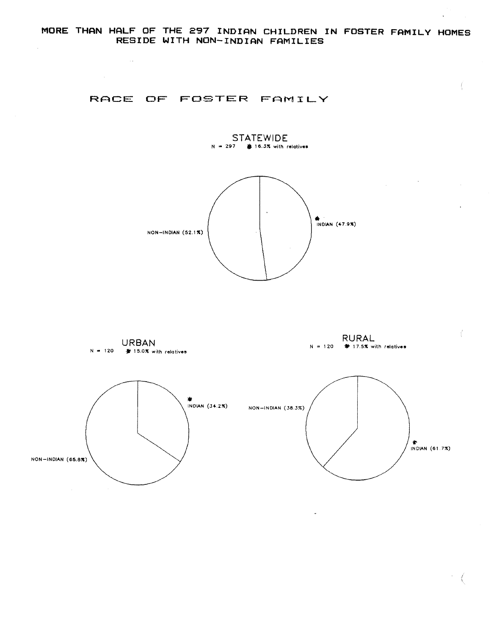### **RACE OF FOSTER FAMILY**

 $\sim 140$ 



 $\int$ 

 $\rightarrow$ 

 $\label{eq:2.1} \frac{1}{\sqrt{2}}\int_{\mathbb{R}^3}\frac{1}{\sqrt{2}}\left(\frac{1}{\sqrt{2}}\right)^2\frac{1}{\sqrt{2}}\left(\frac{1}{\sqrt{2}}\right)^2\frac{1}{\sqrt{2}}\left(\frac{1}{\sqrt{2}}\right)^2\frac{1}{\sqrt{2}}\left(\frac{1}{\sqrt{2}}\right)^2.$ 





 $\ddot{\phantom{1}}$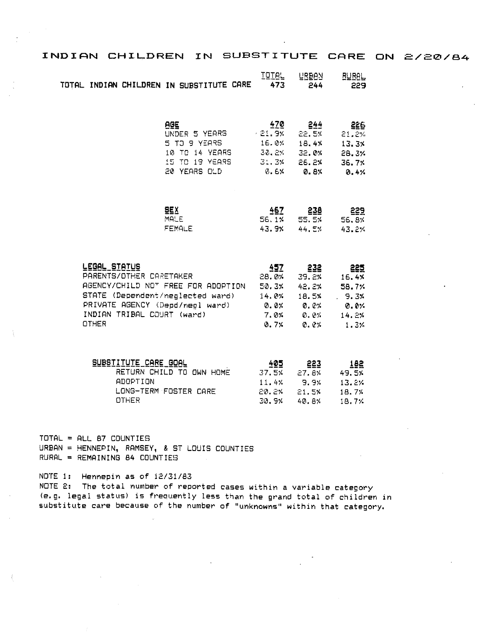| INDIAN CHILDREN IN SUBSTITUTE CARE ON 2/20/84                          |                                       |                     |                     |                     |                             |
|------------------------------------------------------------------------|---------------------------------------|---------------------|---------------------|---------------------|-----------------------------|
| TOTAL INDIAN CHILDREN IN SUBSTITUTE CARE                               |                                       | <b>TOTAL</b><br>473 | <b>LRBAN</b><br>244 | <b>RURAL</b><br>229 | $\mathcal{A}^{\mathcal{A}}$ |
|                                                                        | <b>AGE</b><br>UNDER 5 YEARS           | 470<br>$+21.9%$     | 244<br>22.5%        | 226<br>21.2%        |                             |
|                                                                        | 5 TO 9 YEARS                          | 16.0%               | 18.4%               | 13.3%               |                             |
|                                                                        | 10 TO 14 YEARS                        | 30.2%               | 32.0%               | 28.3%               |                             |
|                                                                        | 15 TO 19 YEARS<br><b>20 YEARS OLD</b> | 31.3%               | 26.2%               | 36.7%               |                             |
|                                                                        |                                       | 0. EX               | 0.8%                | 0.4%                |                             |
|                                                                        | <b>BEX</b>                            | 467                 | 238                 | 229                 |                             |
|                                                                        | MALE                                  | 56.1%               | 55.5%               | 56.8%               |                             |
|                                                                        | <b>FEMALE</b>                         | 43.9%               | 44.5%               | 43.2%               |                             |
| LEGAL STATUS                                                           |                                       | 457                 | 232                 | 225                 |                             |
| PARENTS/OTHER CARETAKER                                                |                                       | 28.0%               | 39.2%               | 16.4%               |                             |
| AGENCY/CHILD NOT FREE FOR ADOPTION<br>STATE (Dependent/neglected ward) |                                       | 50.3%               | 42.2%               | 58.7%               |                             |
|                                                                        | PRIVATE AGENCY (Depd/negl ward)       | 14.0%               | 18.5%               | .9.3%               |                             |
| INDIAN TRIBAL COURT (ward)                                             |                                       | $Q. Q$ %<br>7.0%    | <b>0.</b> 0%        | 0. OX               |                             |
|                                                                        |                                       |                     | 0.04                | 14.2%               |                             |

0.7%

 $0.01$ 

 $1.3%$ 

| SUBSTITUTE CARE GOAL     | 405    | 223    | 182   |
|--------------------------|--------|--------|-------|
| RETURN CHILD TO OWN HOME | 37.5%  | 27.BX  | 49.5% |
| ADOPTION                 | 11.4%  | 9.9%   | 13.2% |
| LONG-TERM FOSTER CARE    | 20. 2% | 21.5%  | 18.7% |
| OTHER                    | 30.9%  | 40. BX | 18.7% |

TOTAL = ALL 87 COUNTIES URBAN = HENNEPIN, RAMSEY, & ST LOUIS COUNTIES RURAL = REMAINING 84 COUNTIES

OTHER

NOTE 1: Hennepin as of 12/31/83 NOTE 2: The total number of reported cases within a variable category (e.g. legal status) is frequently less than the grand total of children in substitute care because of the number of "unknowns" within that category.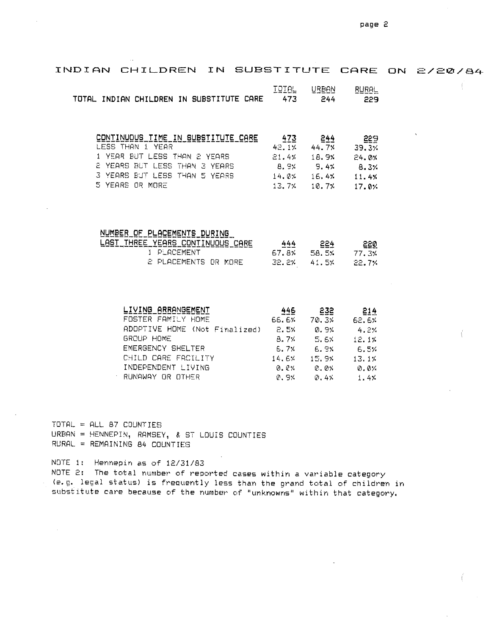| INDIAN CHILDREN IN SUBSTITUTE CARE ON 2/20/84 |              |                  |                            |          |
|-----------------------------------------------|--------------|------------------|----------------------------|----------|
|                                               | <b>TOTAL</b> | URBAN            | <b>RURAL</b>               |          |
| TOTAL INDIAN CHILDREN IN SUBSTITUTE CARE      | 473          | 244              | 229                        |          |
|                                               |              |                  |                            |          |
| CONTINUOUS TIME IN SUBSTITUTE CARE            |              | $473$ 244        | 229                        | $\Delta$ |
| LESS THAN 1 YEAR                              | 42.1% 44.7%  |                  | 39.3%                      |          |
| 1 YEAR BUT LESS THAN 2 YEARS                  | 21.4%        | 18.9%            | 24.0%                      |          |
| <b>E YEARS BUT LESS THAN 3 YEARS</b>          | 8.9% 9.4%    |                  | 8.3%                       |          |
| 3 YEARS BUT LESS THAN 5 YEARS                 |              |                  | $14.0\%$ $16.4\%$ $11.4\%$ |          |
| 5 YEARS OR MORE                               | 13.7%        |                  | $10.7%$ $17.0%$            |          |
|                                               |              |                  |                            |          |
| NUMBER OF PLACEMENTS DURING                   |              |                  |                            |          |
| LAST THREE YEARS CONTINUOUS CARE              |              | $444$ 224        | ା ଅଛନ୍ତ                    |          |
| 1 PLACEMENT                                   |              |                  | 67.8% 58.5% 77.3%          |          |
| 2 PLACEMENTS OR MORE                          | 32.2%        | 41.5%            | 22.7%                      |          |
|                                               |              |                  |                            |          |
|                                               |              |                  |                            |          |
| LIVING ARRANGEMENT                            | 446          | 232              | 214                        |          |
| FOSTER FAMILY HOME                            |              |                  | 66.6% 70.3% 62.6%          |          |
| ADOPTIVE HOME (Not Finalized) 2.5% 0.9%       |              |                  | 4.2%                       |          |
| GROUP HOME                                    |              | $8.7%$ 5.6%      | 12.17                      |          |
| EMERGENCY SHELTER                             |              |                  | $6.7%$ $6.9%$ $6.5%$       |          |
| CHILD CARE FACILITY                           | 14.6%        | 15.9%            | 13.1%                      |          |
| INDEPENDENT LIVING                            | 0.0%         | $Q$ , $Q \times$ | 0.0%                       |          |

0.9%

 $0.44$ 

 $1.4%$ 

 $TOTAL = ALL B7 CQUNTIES$ URBAN = HENNEPIN, RAMSEY, & ST LOUIS COUNTIES RURAL = REMAINING 84 COUNTIES

∴ RUNAWAY OR OTHER

NOTE 1: Hennepin as of 12/31/83 NOTE 2: The total number of reported cases within a variable category (e.g. legal status) is frequently less than the grand total of children in substitute care because of the number of "unknowns" within that category.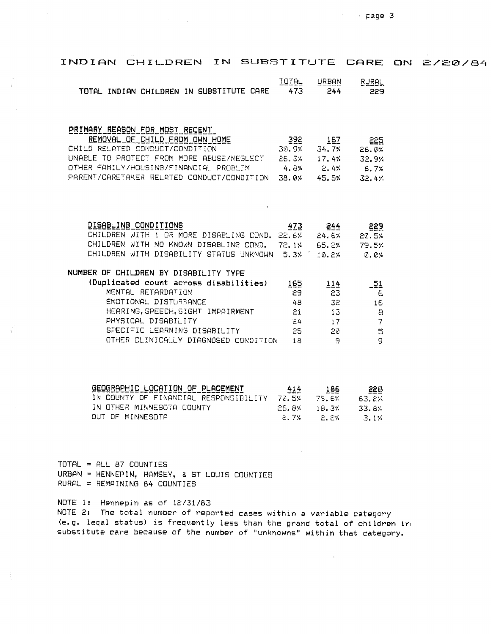| INDIAN CHILDREN IN SUBSTITUTE CARE                                                                              |                     |                       |                              | ON | <i>2/20/84</i> |  |
|-----------------------------------------------------------------------------------------------------------------|---------------------|-----------------------|------------------------------|----|----------------|--|
| TOTAL INDIAN CHILDREN IN SUBSTITUTE CARE                                                                        | <b>IOTAL</b><br>473 | URBAN<br>244          | <b>RURAL</b><br>229          |    |                |  |
| PRIMARY REASON FOR MOST RECENT<br>REMOVAL OF CHILD FROM OWN HOME                                                | - 392               | 167                   | 225                          |    |                |  |
| CHILD RELATED CONDUCT/CONDITION                                                                                 |                     | 30.9% 34.7%           | 28.0%                        |    |                |  |
| UNABLE TO PROTECT FROM MORE ABUSE/NEGLECT 66.3% 17.4% 32.9%                                                     |                     |                       |                              |    |                |  |
| OTHER FAMILY/HOUSING/FINANCIAL PROBLEM 4.8% 2.4% 6.7%<br>PARENT/CARETAKER RELATED CONDUCT/CONDITION 38.0% 45.5% |                     |                       | 32.4%                        |    |                |  |
|                                                                                                                 |                     |                       |                              |    |                |  |
| DISABLING CONDITIONS                                                                                            | 473                 | <u>244  </u>          | 229                          |    |                |  |
| CHILDREN WITH 1 OR MORE DISABLING COND. 22.6% 24.6%                                                             |                     |                       | 20.5%                        |    |                |  |
| CHILDREN WITH NO KNOWN DISABLING COND. 72.1% 65.2%                                                              |                     |                       | 79.5%                        |    |                |  |
| CHILDREN WITH DISABILITY STATUS UNKNOWN 5.3% 10.2%                                                              |                     |                       | 0. C%                        |    |                |  |
| NUMBER OF CHILDREN BY DISABILITY TYPE                                                                           |                     |                       |                              |    |                |  |
| (Duplicated count across disabilities)                                                                          | 165                 | 114                   | $-51$                        |    |                |  |
| MENTAL RETARDATION                                                                                              | 29                  | 23                    | Ë.                           |    |                |  |
| EMOTIONAL DISTURBANCE                                                                                           | 48                  | 32.                   | 16                           |    |                |  |
| HEARING, SPEECH, SIGHT IMPAIRMENT<br>PHYSICAL DISABILITY                                                        | 21<br>$24 -$        | 13<br>17 <sup>7</sup> | $\epsilon$<br>$\overline{7}$ |    |                |  |
| SPECIFIC LEARNING DISABILITY                                                                                    | 25.                 | 空の                    | E)                           |    |                |  |
| OTHER CLINICALLY DIAGNOSED CONDITION                                                                            | 18                  | G)                    | 9                            |    |                |  |
|                                                                                                                 |                     |                       |                              |    |                |  |
| GEOGRAPHIC LOCATION OF PLACEMENT                                                                                | 414                 | 186                   | 226                          |    |                |  |
| IN COUNTY OF FINANCIAL RESPONSIBILITY 70.5%                                                                     |                     |                       | 79.6% 63.2%                  |    |                |  |
| IN OTHER MINNESOTA COUNTY<br>OUT OF MINNESOTA                                                                   | 26.8%<br>2.7%       | 18.3%<br>$P = 7$      | 33.8%<br>$-3.1\%$            |    |                |  |
|                                                                                                                 |                     |                       |                              |    |                |  |

 $2.7%$   $2.2%$   $3.1%$ 

TOTAL = ALL 87 COUNTIES  $URBAN = HENNEPIN, RAMSEY, 8 ST LOUIS COUNTIES$ RURAL = REMAINING 84 COUNTIES

NOTE 1: Hennepin as of *12/31/83* NOTE 2: The total number of reported cases within a variable category (e.g. legal status) is frequently less than the grand total of children in substitute care because of the number of "unknowns" within that category.